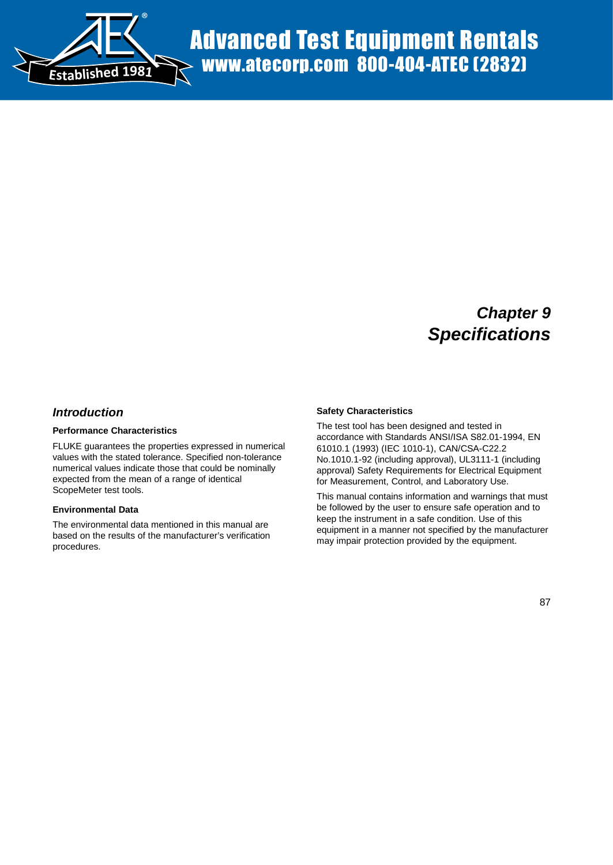

# *Chapter 9 Specifications*

## *Introduction*

#### **Performance Characteristics**

FLUKE guarantees the properties expressed in numerical values with the stated tolerance. Specified non-tolerance numerical values indicate those that could be nominally expected from the mean of a range of identical ScopeMeter test tools.

#### **Environmental Data**

The environmental data mentioned in this manual are based on the results of the manufacturer's verification procedures.

#### **Safety Characteristics**

The test tool has been designed and tested in accordance with Standards ANSI/ISA S82.01-1994, EN 61010.1 (1993) (IEC 1010-1), CAN/CSA-C22.2 No.1010.1-92 (including approval), UL3111-1 (including approval) Safety Requirements for Electrical Equipment for Measurement, Control, and Laboratory Use.

This manual contains information and warnings that must be followed by the user to ensure safe operation and to keep the instrument in a safe condition. Use of this equipment in a manner not specified by the manufacturer may impair protection provided by the equipment.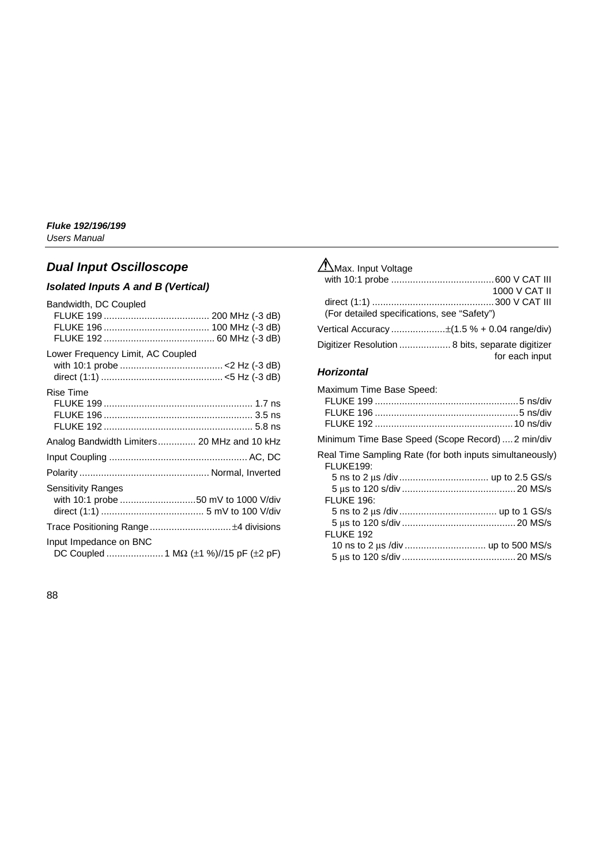## *Dual Input Oscilloscope*

## *Isolated Inputs A and B (Vertical)*

| Bandwidth, DC Coupled             |                                             |
|-----------------------------------|---------------------------------------------|
|                                   |                                             |
|                                   |                                             |
|                                   |                                             |
| Lower Frequency Limit, AC Coupled |                                             |
|                                   |                                             |
|                                   |                                             |
| <b>Rise Time</b>                  |                                             |
|                                   |                                             |
|                                   |                                             |
|                                   |                                             |
|                                   | Analog Bandwidth Limiters 20 MHz and 10 kHz |
|                                   |                                             |
|                                   |                                             |
| <b>Sensitivity Ranges</b>         |                                             |
|                                   | with 10:1 probe 50 mV to 1000 V/div         |
|                                   |                                             |
|                                   |                                             |
| Input Impedance on BNC            |                                             |
|                                   |                                             |
|                                   |                                             |

## Max. Input Voltage with 10:1 probe ......................................600 V CAT III 1000 V CAT II direct (1:1) .............................................300 V CAT III (For detailed specifications, see "Safety") Vertical Accuracy ....................±(1.5 % + 0.04 range/div) Digitizer Resolution ................... 8 bits, separate digitizer for each input

## *Horizontal*

| Minimum Time Base Speed (Scope Record)  2 min/div        |
|----------------------------------------------------------|
| Real Time Sampling Rate (for both inputs simultaneously) |
|                                                          |
|                                                          |
|                                                          |
|                                                          |
|                                                          |
|                                                          |
|                                                          |
|                                                          |
|                                                          |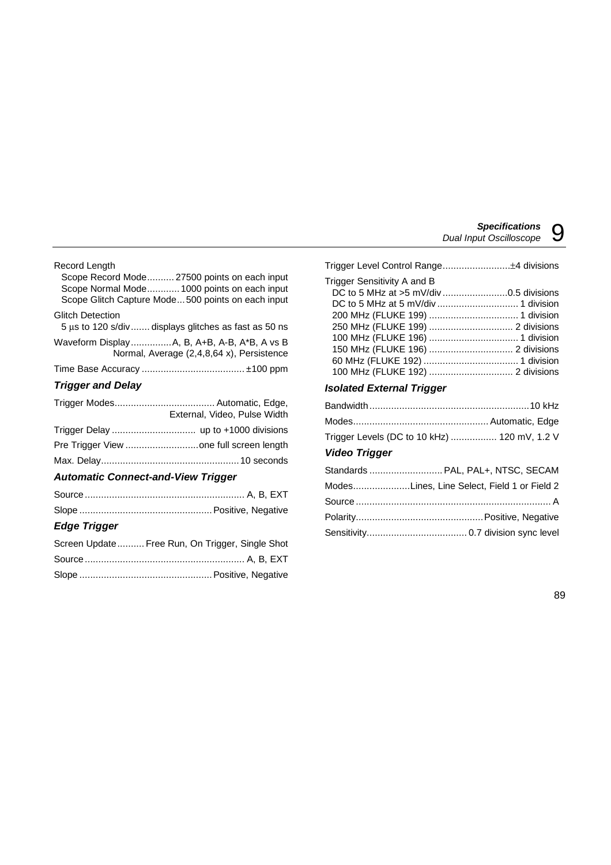## Record Length Scope Record Mode.......... 27500 points on each input Scope Normal Mode............ 1000 points on each input Scope Glitch Capture Mode...500 points on each input Glitch Detection 5 µs to 120 s/div....... displays glitches as fast as 50 ns Waveform Display...............A, B, A+B, A-B, A\*B, A vs B Normal, Average (2,4,8,64 x), Persistence Time Base Accuracy ...................................... ±100 ppm *Trigger and Delay*

| External, Video, Pulse Width |
|------------------------------|
|                              |
|                              |
|                              |

## *Automatic Connect-and-View Trigger*

## *Edge Trigger*

| Screen Update Free Run, On Trigger, Single Shot |
|-------------------------------------------------|
|                                                 |
|                                                 |

| Trigger Sensitivity A and B |  |
|-----------------------------|--|
|                             |  |
|                             |  |
|                             |  |
|                             |  |
|                             |  |
|                             |  |
|                             |  |
|                             |  |
|                             |  |

## *Isolated External Trigger*

| Trigger Levels (DC to 10 kHz)  120 mV, 1.2 V |  |
|----------------------------------------------|--|
| $M_{\rm{max}} = 7.5$ and $\mu$               |  |

## *Video Trigger*

| Standards  PAL, PAL+, NTSC, SECAM           |
|---------------------------------------------|
| ModesLines, Line Select, Field 1 or Field 2 |
|                                             |
|                                             |
|                                             |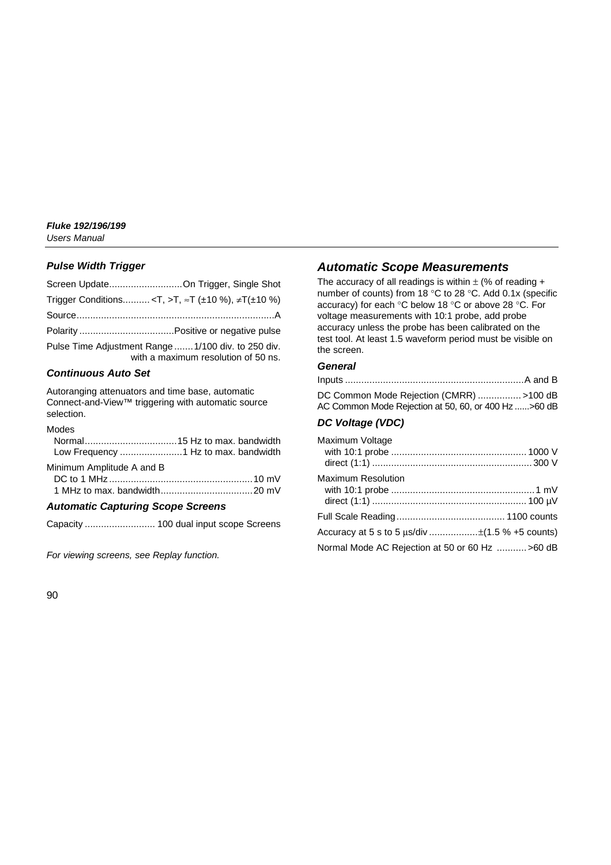## *Pulse Width Trigger*

| Screen UpdateOn Trigger, Single Shot                                                       |
|--------------------------------------------------------------------------------------------|
| Trigger Conditions <t,>T, ≈T (±10 %), ≠T(±10 %)</t,>                                       |
|                                                                                            |
|                                                                                            |
| Pulse Time Adjustment Range  1/100 div. to 250 div.<br>with a maximum resolution of 50 ns. |
|                                                                                            |

## *Continuous Auto Set*

Autoranging attenuators and time base, automatic Connect-and-View™ triggering with automatic source selection.

#### Modes

Minimum Amplitude A and B

## *Automatic Capturing Scope Screens*

Capacity .......................... 100 dual input scope Screens

*For viewing screens, see Replay function.*

## *Automatic Scope Measurements*

The accuracy of all readings is within  $\pm$  (% of reading + number of counts) from 18 °C to 28 °C. Add 0.1x (specific accuracy) for each °C below 18 °C or above 28 °C. For voltage measurements with 10:1 probe, add probe accuracy unless the probe has been calibrated on the test tool. At least 1.5 waveform period must be visible on the screen.

### *General*

| DC Common Mode Rejection (CMRR) >100 dB             |  |
|-----------------------------------------------------|--|
| AC Common Mode Rejection at 50, 60, or 400 Hz>60 dB |  |

## *DC Voltage (VDC)*

| Maximum Voltage                                  |  |
|--------------------------------------------------|--|
| Maximum Resolution                               |  |
|                                                  |  |
|                                                  |  |
| Normal Mode AC Rejection at 50 or 60 Hz  > 60 dB |  |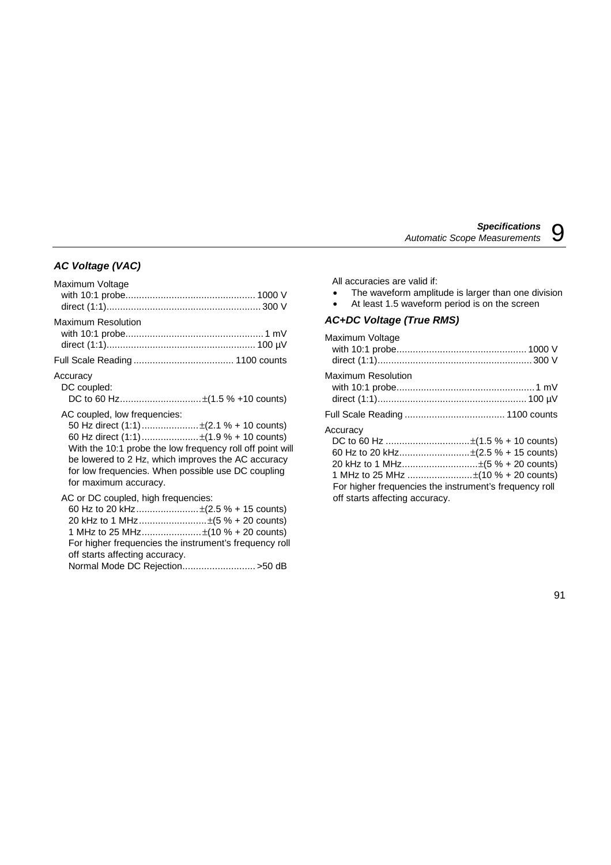## *AC Voltage (VAC)*

| Maximum Voltage                                                                                                                                                                                                                                                                                                      |  |
|----------------------------------------------------------------------------------------------------------------------------------------------------------------------------------------------------------------------------------------------------------------------------------------------------------------------|--|
| Maximum Resolution                                                                                                                                                                                                                                                                                                   |  |
|                                                                                                                                                                                                                                                                                                                      |  |
| Accuracy<br>DC coupled:                                                                                                                                                                                                                                                                                              |  |
| AC coupled, low frequencies:<br>50 Hz direct (1:1)  ±(2.1 % + 10 counts)<br>60 Hz direct (1:1)±(1.9 % + 10 counts)<br>With the 10:1 probe the low frequency roll off point will<br>be lowered to 2 Hz, which improves the AC accuracy<br>for low frequencies. When possible use DC coupling<br>for maximum accuracy. |  |
| AC or DC coupled, high frequencies:<br>60 Hz to 20 kHz  ±(2.5 % + 15 counts)<br>20 kHz to 1 MHz±(5 % + 20 counts)<br>1 MHz to 25 MHz±(10 % + 20 counts)<br>For higher frequencies the instrument's frequency roll<br>off starts affecting accuracy.                                                                  |  |

Normal Mode DC Rejection........................... >50 dB

All accuracies are valid if:

- The waveform amplitude is larger than one division
- At least 1.5 waveform period is on the screen

## *AC+DC Voltage (True RMS)*

| Maximum Voltage                                                                                                                                                                                                         |  |
|-------------------------------------------------------------------------------------------------------------------------------------------------------------------------------------------------------------------------|--|
| Maximum Resolution                                                                                                                                                                                                      |  |
|                                                                                                                                                                                                                         |  |
| Accuracv<br>60 Hz to 20 kHz±(2.5 % + 15 counts)<br>20 kHz to 1 MHz±(5 % + 20 counts)<br>1 MHz to 25 MHz ±(10 % + 20 counts)<br>For higher frequencies the instrument's frequency roll<br>off starts affecting accuracy. |  |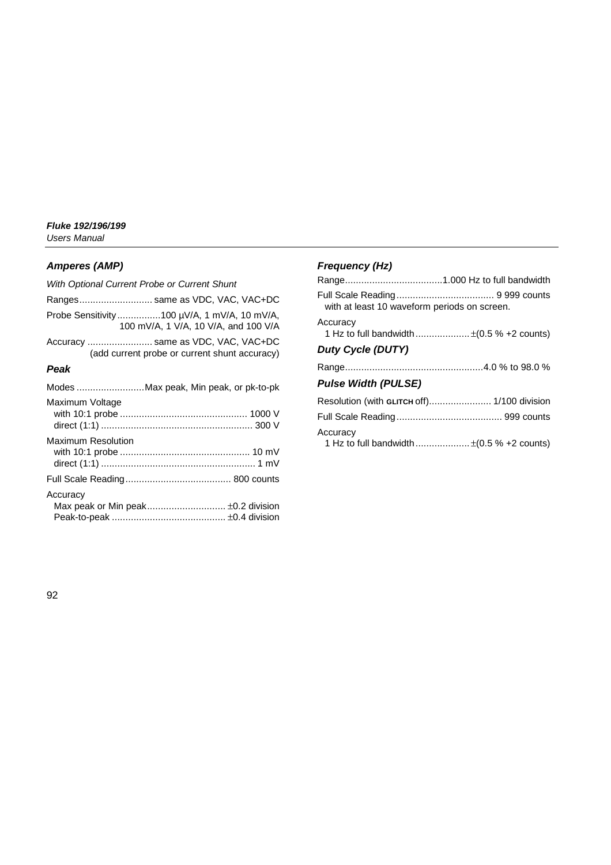## *Amperes (AMP)*

| With Optional Current Probe or Current Shunt                                        |
|-------------------------------------------------------------------------------------|
| Ranges same as VDC, VAC, VAC+DC                                                     |
| Probe Sensitivity100 µV/A, 1 mV/A, 10 mV/A,<br>100 mV/A, 1 V/A, 10 V/A, and 100 V/A |
| Accuracy  same as VDC, VAC, VAC+DC<br>(add current probe or current shunt accuracy) |

## *Peak*

|                           | Modes Max peak, Min peak, or pk-to-pk |
|---------------------------|---------------------------------------|
| Maximum Voltage           |                                       |
| <b>Maximum Resolution</b> |                                       |
|                           |                                       |
| Accuracy                  |                                       |

## *Frequency (Hz)*

| with at least 10 waveform periods on screen. |                                                         |
|----------------------------------------------|---------------------------------------------------------|
| Accuracy                                     |                                                         |
|                                              | 1 Hz to full bandwidth $\pm (0.5\% + 2 \text{ counts})$ |
| Duty Cycle (DUTY)                            |                                                         |
|                                              |                                                         |
| <b>Pulse Width (PULSE)</b>                   |                                                         |
| Resolution (with GLITCH off) 1/100 division  |                                                         |
|                                              |                                                         |
| Accuracy                                     | 1 Hz to full bandwidth $\pm (0.5 % + 2 counts)$         |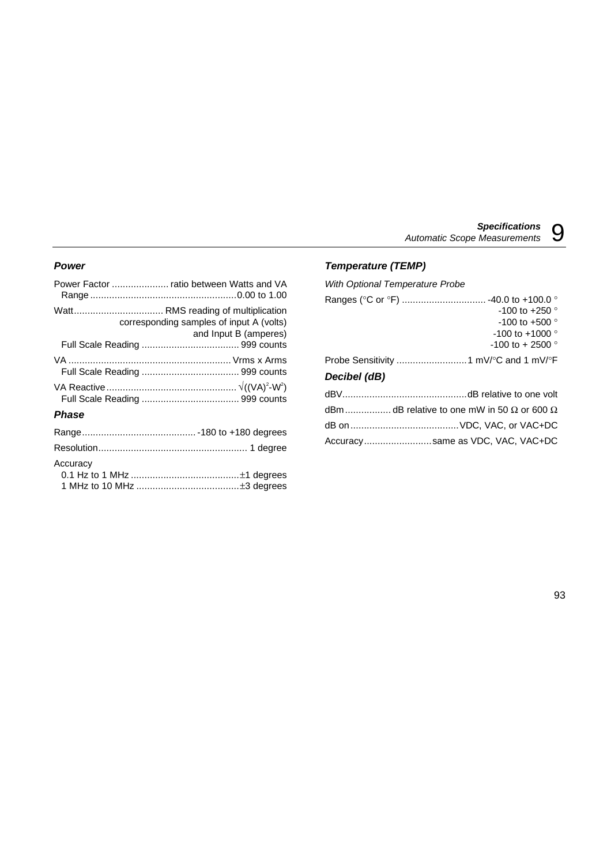#### *Power*

| corresponding samples of input A (volts)<br>and Input B (amperes) |
|-------------------------------------------------------------------|
|                                                                   |
|                                                                   |
|                                                                   |
|                                                                   |

#### *Phase*

#### *Temperature (TEMP)*

*With Optional Temperature Probe* Ranges (°C or °F) ................................. -40.0 to +100.0 ° -100 to +250  $^{\circ}$ -100 to +500  $^{\circ}$  $-100$  to  $+1000$   $^{\circ}$  $-100$  to  $+2500$  ° Probe Sensitivity ..........................1 mV/°C and 1 mV/°F *Decibel (dB)* dBV..............................................dB relative to one volt dBm.......................dB relative to one mW in 50  $\Omega$  or 600  $\Omega$ 

| Accuracysame as VDC, VAC, VAC+DC |
|----------------------------------|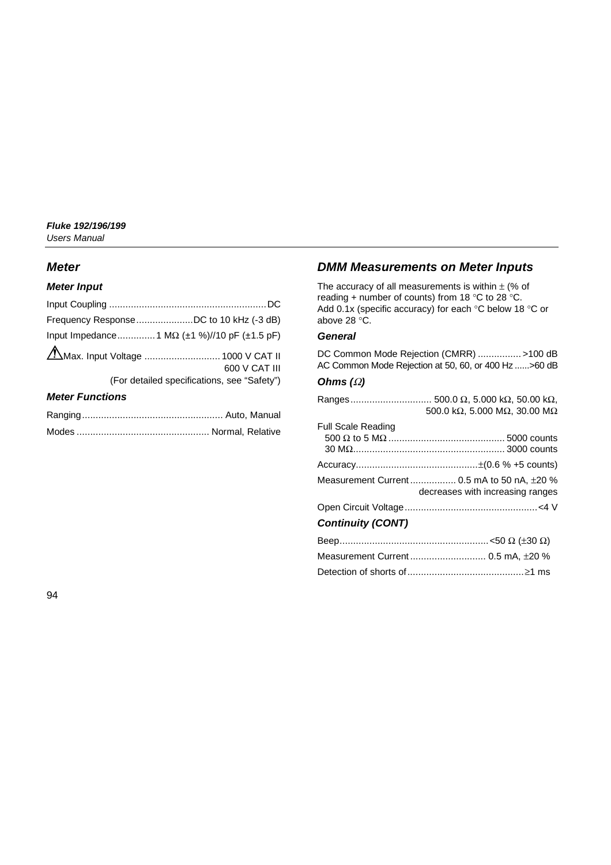## *Meter*

### *Meter Input*

|                        | Frequency Response DC to 10 kHz (-3 dB)              |
|------------------------|------------------------------------------------------|
|                        | Input Impedance 1 M $\Omega$ (±1 %)//10 pF (±1.5 pF) |
|                        | 600 V CAT III                                        |
|                        | (For detailed specifications, see "Safety")          |
| <b>Meter Functions</b> |                                                      |

## Ranging.................................................... Auto, Manual Modes ................................................. Normal, Relative

## *DMM Measurements on Meter Inputs*

The accuracy of all measurements is within  $\pm$  (% of reading + number of counts) from 18 °C to 28 °C. Add 0.1x (specific accuracy) for each °C below 18 °C or above 28 °C.

#### *General*

DC Common Mode Rejection (CMRR) ................ >100 dB AC Common Mode Rejection at 50, 60, or 400 Hz ......>60 dB

## *Ohms (*Ω*)*

|                           | 500.0 k $\Omega$ , 5.000 M $\Omega$ , 30.00 M $\Omega$                         |
|---------------------------|--------------------------------------------------------------------------------|
| <b>Full Scale Reading</b> |                                                                                |
|                           |                                                                                |
|                           | Measurement Current 0.5 mA to 50 nA, ±20 %<br>decreases with increasing ranges |
|                           |                                                                                |
| <b>Continuity (CONT)</b>  |                                                                                |
|                           |                                                                                |
|                           |                                                                                |
|                           |                                                                                |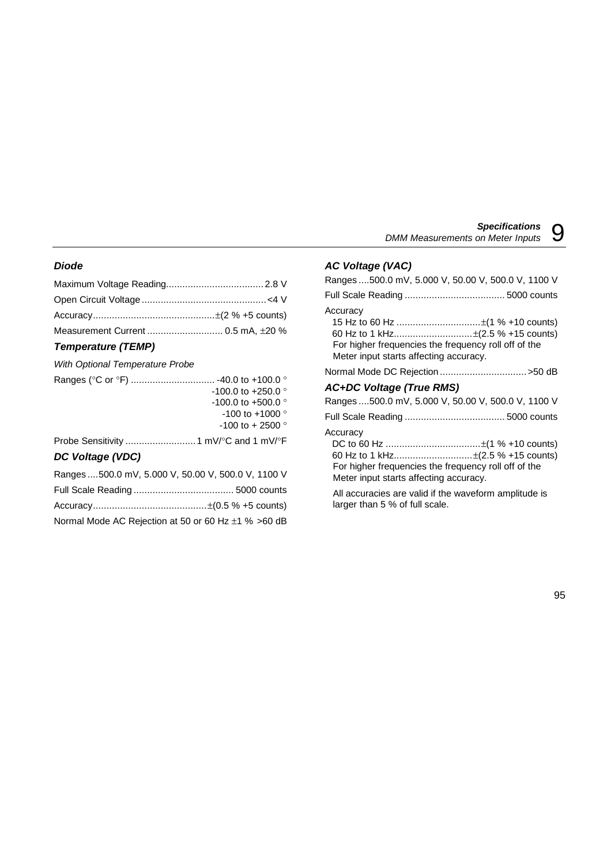### *Diode*

## *Temperature (TEMP)*

#### *With Optional Temperature Probe*

| $-100.0$ to $+250.0$ °       |
|------------------------------|
| $-100.0$ to $+500.0$ °       |
| $-100$ to $+1000$ $^{\circ}$ |
| $-100$ to $+2500$ °          |
|                              |
|                              |

#### *DC Voltage (VDC)*

| Ranges  500.0 mV, 5.000 V, 50.00 V, 500.0 V, 1100 V |  |
|-----------------------------------------------------|--|
|                                                     |  |
|                                                     |  |
| Normal Mode AC Rejection at 50 or 60 Hz ±1 % >60 dB |  |

## *AC Voltage (VAC)*

larger than 5 % of full scale.

| Ranges 500.0 mV, 5.000 V, 50.00 V, 500.0 V, 1100 V                                                         |
|------------------------------------------------------------------------------------------------------------|
|                                                                                                            |
| Accuracy<br>For higher frequencies the frequency roll off of the<br>Meter input starts affecting accuracy. |
| Normal Mode DC Rejection >50 dB                                                                            |
| <b>AC+DC Voltage (True RMS)</b>                                                                            |
| Ranges 500.0 mV, 5.000 V, 50.00 V, 500.0 V, 1100 V                                                         |
|                                                                                                            |
| Accuracy<br>For higher frequencies the frequency roll off of the<br>Meter input starts affecting accuracy. |
| All accuracies are valid if the waveform amplitude is                                                      |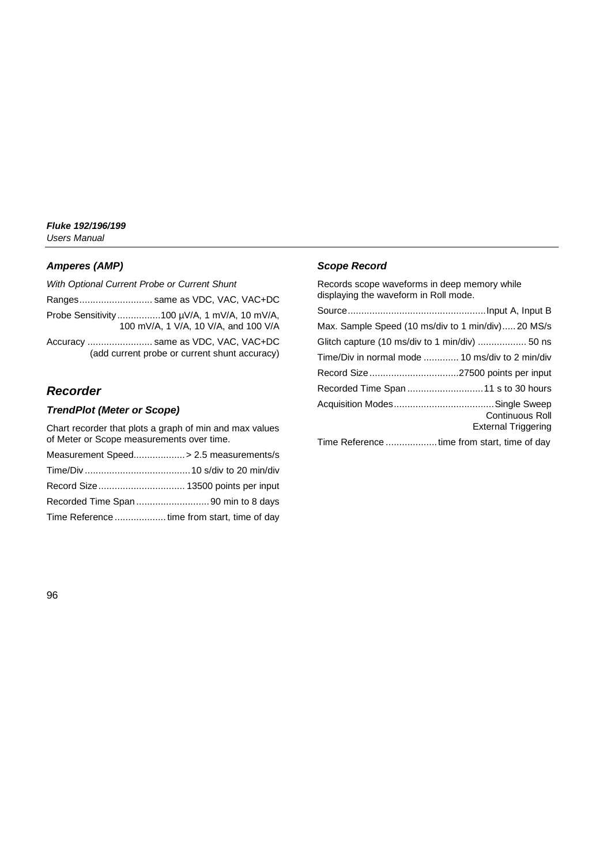## *Amperes (AMP)*

| With Optional Current Probe or Current Shunt                                        |
|-------------------------------------------------------------------------------------|
| Ranges same as VDC, VAC, VAC+DC                                                     |
| Probe Sensitivity100 µV/A, 1 mV/A, 10 mV/A,<br>100 mV/A, 1 V/A, 10 V/A, and 100 V/A |
| Accuracy  same as VDC, VAC, VAC+DC<br>(add current probe or current shunt accuracy) |

## *Recorder*

### *TrendPlot (Meter or Scope)*

Chart recorder that plots a graph of min and max values of Meter or Scope measurements over time.

| Measurement Speed> 2.5 measurements/s        |
|----------------------------------------------|
|                                              |
|                                              |
| Recorded Time Span 90 min to 8 days          |
| Time Reference  time from start, time of day |

### *Scope Record*

Records scope waveforms in deep memory while displaying the waveform in Roll mode.

| Max. Sample Speed (10 ms/div to 1 min/div)20 MS/s      |
|--------------------------------------------------------|
| Glitch capture (10 ms/div to 1 min/div)  50 ns         |
| Time/Div in normal mode  10 ms/div to 2 min/div        |
|                                                        |
|                                                        |
| <b>Continuous Roll</b><br><b>External Triggering</b>   |
| There Defenses and the first first first first of day. |

Time Reference ...................time from start, time of day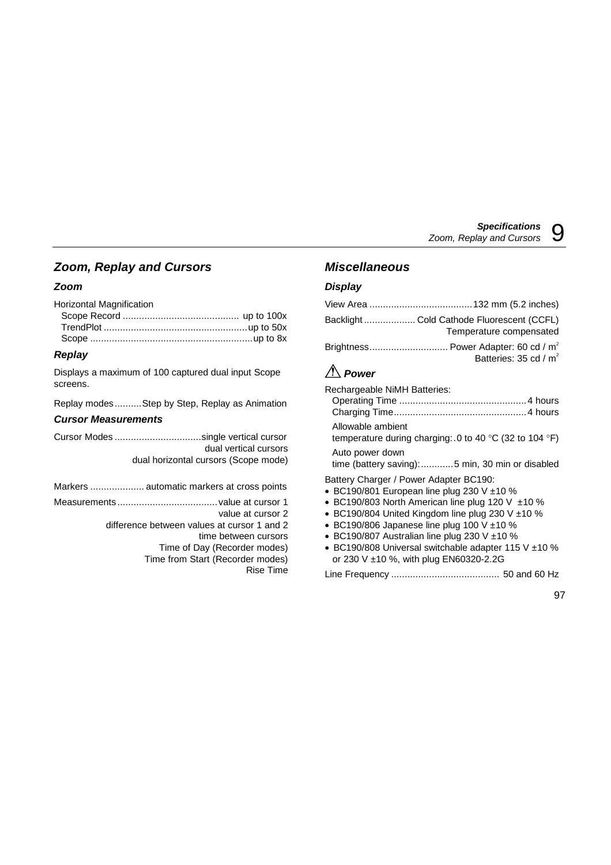## *Zoom, Replay and Cursors*

## *Zoom*

Horizontal Magnification

## *Replay*

Displays a maximum of 100 captured dual input Scope screens.

Replay modes..........Step by Step, Replay as Animation

### *Cursor Measurements*

Cursor Modes ................................single vertical cursor dual vertical cursors dual horizontal cursors (Scope mode)

Markers .................... automatic markers at cross points Measurements.....................................value at cursor 1 value at cursor 2 difference between values at cursor 1 and 2 time between cursors Time of Day (Recorder modes) Time from Start (Recorder modes) Rise Time

## *Miscellaneous*

## *Display*

|                 | Backlight  Cold Cathode Fluorescent (CCFL)<br>Temperature compensated |
|-----------------|-----------------------------------------------------------------------|
|                 | Brightness Power Adapter: 60 cd / $m^2$                               |
| $\wedge$ $\sim$ | Batteries: 35 cd / m <sup>2</sup>                                     |

## *Power*

Rechargeable NiMH Batteries:

Allowable ambient

temperature during charging:.0 to 40 °C (32 to 104 °F)

Auto power down

time (battery saving):............5 min, 30 min or disabled

Battery Charger / Power Adapter BC190:

- BC190/801 European line plug 230 V  $\pm$ 10 %
- BC190/803 North American line plug 120 V  $\pm$ 10 %
- BC190/804 United Kingdom line plug 230 V  $\pm$ 10 %
- BC190/806 Japanese line plug 100 V  $\pm$ 10 %
- BC190/807 Australian line plug 230 V  $\pm$ 10 %
- BC190/808 Universal switchable adapter 115 V ±10 % or 230 V ±10 %, with plug EN60320-2.2G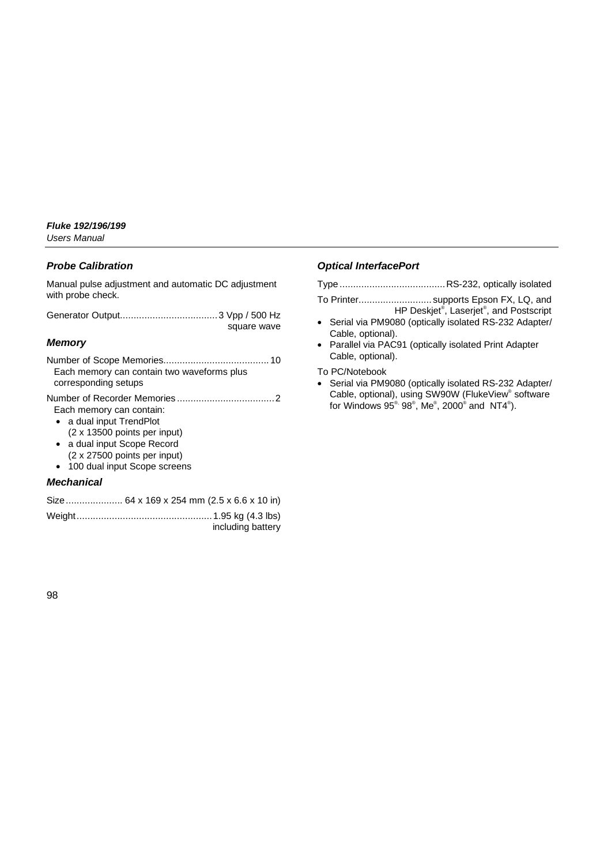#### *Probe Calibration*

Manual pulse adjustment and automatic DC adjustment with probe check.

Generator Output....................................3 Vpp / 500 Hz square wave

#### *Memory*

| Each memory can contain two waveforms plus |
|--------------------------------------------|
| corresponding setups                       |

Number of Recorder Memories ....................................2 Each memory can contain:

- a dual input TrendPlot (2 x 13500 points per input)
- a dual input Scope Record (2 x 27500 points per input)
- 100 dual input Scope screens

### *Mechanical*

|  | including battery |
|--|-------------------|

## *Optical InterfacePort*

| To Printer supports Epson FX, LQ, and                            |  |
|------------------------------------------------------------------|--|
| HP Deskjet <sup>®</sup> , Laserjet <sup>®</sup> , and Postscript |  |
| • Serial via PM9080 (optically isolated RS-232 Adapter/          |  |

Cable, optional). • Parallel via PAC91 (optically isolated Print Adapter Cable, optional).

To PC/Notebook

• Serial via PM9080 (optically isolated RS-232 Adapter/ Cable, optional), using SW90W (FlukeView® software for Windows 95 $^{\circ\!\circ}$  98 $^{\circ}$ , Me $^{\circ}$ , 2000 $^{\circ}$  and NT4 $^{\circ}$ ).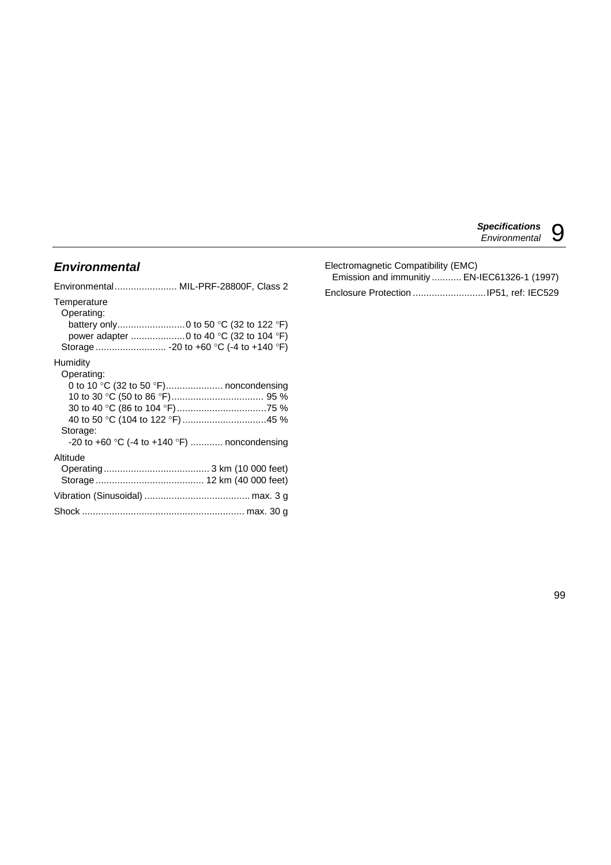## *Environmental*

| Environmental MIL-PRF-28800F, Class 2                                                                                              |
|------------------------------------------------------------------------------------------------------------------------------------|
| Temperature<br>Operating:<br>power adapter  0 to 40 °C (32 to 104 °F)                                                              |
| Humidity                                                                                                                           |
| Operating:<br>0 to 10 °C (32 to 50 °F) noncondensing<br>Storage:<br>-20 to +60 $\degree$ C (-4 to +140 $\degree$ F)  noncondensing |
| Altitude                                                                                                                           |
|                                                                                                                                    |
|                                                                                                                                    |
|                                                                                                                                    |
|                                                                                                                                    |

| Electromagnetic Compatibility (EMC) |                                              |
|-------------------------------------|----------------------------------------------|
|                                     | Emission and immunitiy  EN-IEC61326-1 (1997) |
|                                     |                                              |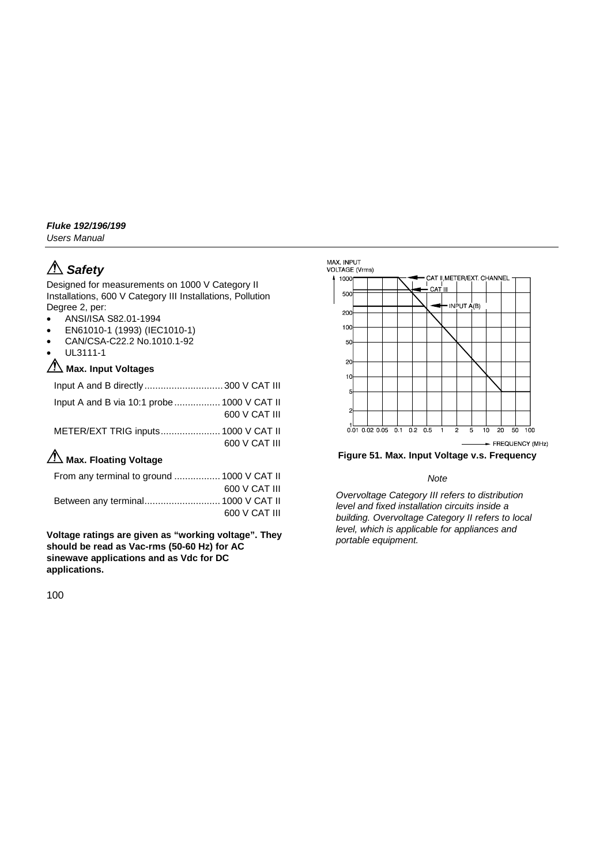## *Fluke 192/196/199*

*Users Manual*

# *Safety*

Designed for measurements on 1000 V Category II Installations, 600 V Category III Installations, Pollution Degree 2, per:

- ANSI/ISA S82.01-1994
- EN61010-1 (1993) (IEC1010-1)
- CAN/CSA-C22.2 No.1010.1-92
- UL3111-1

## **Max. Input Voltages**

| Input A and B via 10:1 probe 1000 V CAT II |               |
|--------------------------------------------|---------------|
|                                            | 600 V CAT III |
|                                            |               |
|                                            | 600 V CAT III |
| Ѧ                                          |               |

## **ZIA** Max. Floating Voltage

| From any terminal to ground  1000 V CAT II |               |
|--------------------------------------------|---------------|
|                                            | 600 V CAT III |
| Between any terminal 1000 V CAT II         |               |
|                                            | 600 V CAT III |

**Voltage ratings are given as "working voltage". They should be read as Vac-rms (50-60 Hz) for AC sinewave applications and as Vdc for DC applications.**



**Figure 51. Max. Input Voltage v.s. Frequency**

#### *Note*

*Overvoltage Category III refers to distribution level and fixed installation circuits inside a building. Overvoltage Category II refers to local level, which is applicable for appliances and portable equipment.*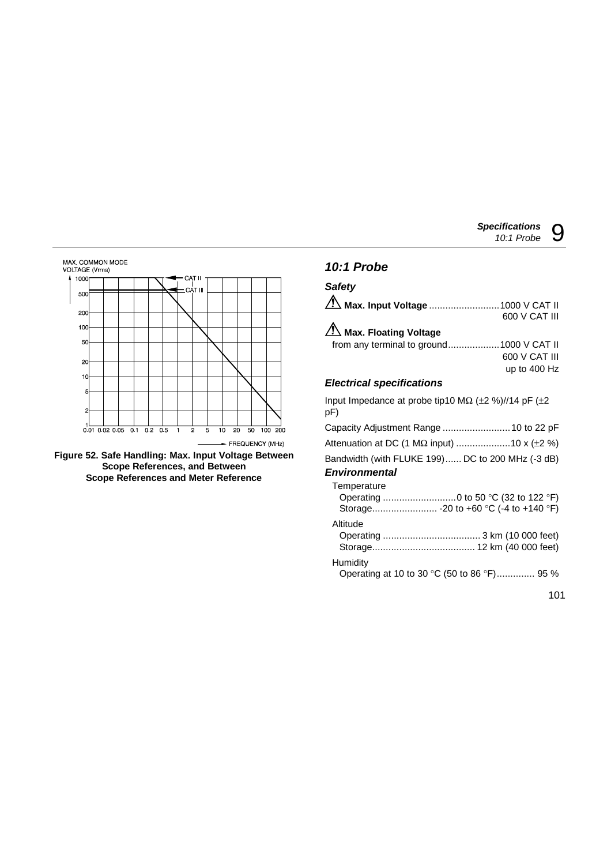

**Figure 52. Safe Handling: Max. Input Voltage Between Scope References, and Between Scope References and Meter Reference**

## *10:1 Probe Safety*

| Saicty                                   |               |
|------------------------------------------|---------------|
| △ Max. Input Voltage 1000 V CAT II       |               |
|                                          | 600 V CAT III |
| A Max. Floating Voltage                  |               |
| from any terminal to ground1000 V CAT II |               |
|                                          | 600 V CAT III |
|                                          | up to 400 Hz  |

## *Electrical specifications*

Input Impedance at probe tip10 M $\Omega$  (±2 %)//14 pF (±2 pF)

|  |  |  |  | Capacity Adjustment Range  10 to 22 pF |  |  |
|--|--|--|--|----------------------------------------|--|--|
|--|--|--|--|----------------------------------------|--|--|

| Attenuation at DC (1 MΩ input) 10 x (±2 %) |  |
|--------------------------------------------|--|
|--------------------------------------------|--|

Bandwidth (with FLUKE 199)...... DC to 200 MHz (-3 dB)

## *Environmental*

| Temperature |  |
|-------------|--|
|             |  |
|             |  |

#### Altitude

#### **Humidity**

Operating at 10 to 30 °C (50 to 86 °F).............. 95 %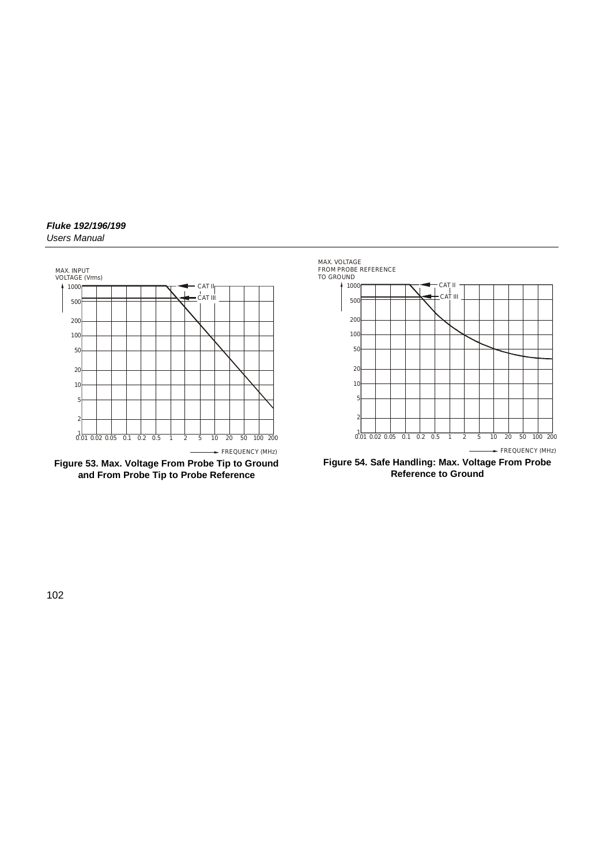#### *Fluke 192/196/199 Users Manual*



**Figure 53. Max. Voltage From Probe Tip to Ground and From Probe Tip to Probe Reference**



**Figure 54. Safe Handling: Max. Voltage From Probe Reference to Ground**